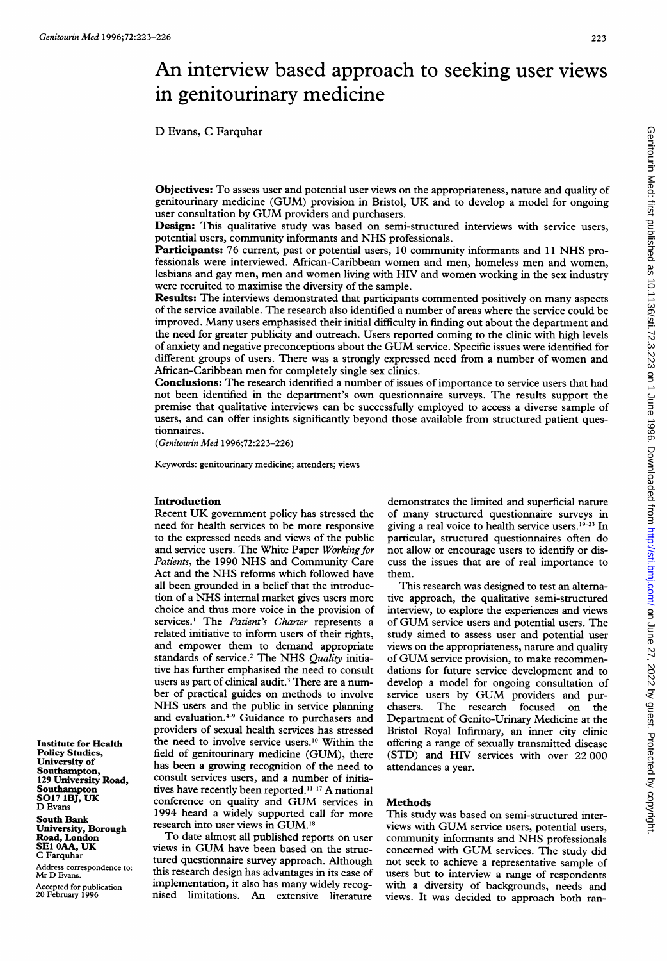# An interview based approach to seeking user views in genitourinary medicine

D Evans, C Farquhar

Objectives: To assess user and potential user views on the appropriateness, nature and quality of genitourinary medicine (GUM) provision in Bristol, UK and to develop <sup>a</sup> model for ongoing user consultation by GUM providers and purchasers.

Design: This qualitative study was based on semi-structured interviews with service users, potential users, community informants and NHS professionals.

Participants: 76 current, past or potential users, 10 community informants and 11 NHS professionals were interviewed. African-Caribbean women and men, homeless men and women, lesbians and gay men, men and women living with HIV and women working in the sex industry were recruited to maximise the diversity of the sample.

Results: The interviews demonstrated that participants commented positively on many aspects of the service available. The research also identified <sup>a</sup> number of areas where the service could be improved. Many users emphasised their initial difficulty in finding out about the department and the need for greater publicity and outreach. Users reported coming to the clinic with high levels of anxiety and negative preconceptions about the GUM service. Specific issues were identified for different groups of users. There was <sup>a</sup> strongly expressed need from <sup>a</sup> number of women and African-Caribbean men for completely single sex clinics.

Conclusions: The research identified <sup>a</sup> number of issues of importance to service users that had not been identified in the department's own questionnaire surveys. The results support the premise that qualitative interviews can be successfully employed to access a diverse sample of users, and can offer insights significantly beyond those available from structured patient questionnaires.

(Genitourin Med 1996;72:223-226)

Keywords: genitourinary medicine; attenders; views

# Introduction

Recent UK government policy has stressed the need for health services to be more responsive to the expressed needs and views of the public and service users. The White Paper Working for Patients, the <sup>1990</sup> NHS and Community Care Act and the NHS reforms which followed have all been grounded in a belief that the introduction of <sup>a</sup> NHS internal market gives users more choice and thus more voice in the provision of services.<sup>1</sup> The *Patient's Charter* represents a related initiative to inform users of their rights, and empower them to demand appropriate standards of service.<sup>2</sup> The NHS Quality initiative has further emphasised the need to consult users as part of clinical audit.<sup>3</sup> There are a number of practical guides on methods to involve NHS users and the public in service planning and evaluation.<sup>4-9</sup> Guidance to purchasers and providers of sexual health services has stressed the need to involve service users.<sup>10</sup> Within the field of genitourinary medicine (GUM), there has been a growing recognition of the need to consult services users, and a number of initiatives have recently been reported.<sup>11-17</sup> A national conference on quality and GUM services in 1994 heard a widely supported call for more research into user views in GUM.'8

To date almost all published reports on user views in GUM have been based on the structured questionnaire survey approach. Although this research design has advantages in its ease of implementation, it also has many widely recognised limitations. An extensive literature demonstrates the limited and supefficial nature of many structured questionnaire surveys in giving a real voice to health service users.'9-23 In particular, structured questionnaires often do not allow or encourage users to identify or discuss the issues that are of real importance to them.

This research was designed to test an alternative approach, the qualitative semi-structured interview, to explore the experiences and views of GUM service users and potential users. The study aimed to assess user and potential user views on the appropriateness, nature and quality of GUM service provision, to make recommendations for future service development and to develop a model for ongoing consultation of service users by GUM providers and purchasers. The research focused on the Department of Genito-Urinary Medicine at the Bristol Royal Infirmary, an inner city clinic offering a range of sexually transmitted disease (STD) and HIV services with over 22 000 attendances a year.

## **Methods**

This study was based on semi-structured interviews with GUM service users, potential users, community informants and NHS professionals concerned with GUM services. The study did not seek to achieve a representative sample of users but to interview a range of respondents with a diversity of backgrounds, needs and views. It was decided to approach both ran-

University, Borough Road, London

Institute for Health Policy Studies, University of Southampton, 129 University Road, **Southampton** S017 1BJ, UK D Evans South Bank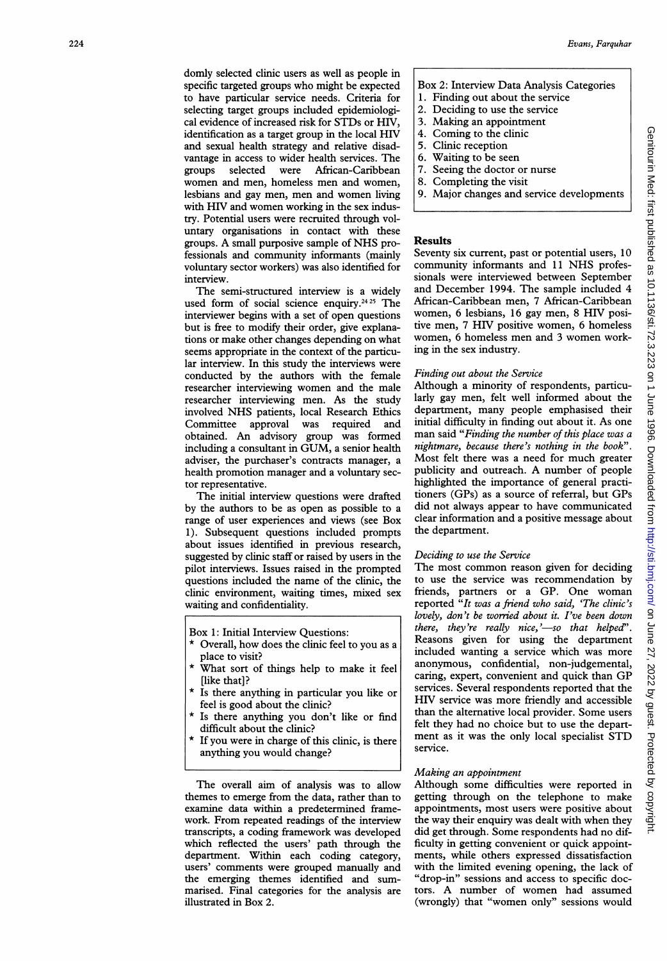domly selected clinic users as well as people in specific targeted groups who might be expected to have particular service needs. Criteria for selecting target groups included epidemiological evidence of increased risk for STDs or HIV, identification as <sup>a</sup> target group in the local HIV and sexual health strategy and relative disadvantage in access to wider health services. The groups selected were African-Caribbean women and men, homeless men and women, lesbians and gay men, men and women living with HIV and women working in the sex industry. Potential users were recruited through voluntary organisations in contact with these groups. A small purposive sample of NHS professionals and community informants (mainly voluntary sector workers) was also identified for interview.

The semi-structured interview is a widely used form of social science enquiry.<sup>24 25</sup> The interviewer begins with a set of open questions but is free to modify their order, give explanations or make other changes depending on what seems appropriate in the context of the particular interview. In this study the interviews were conducted by the authors with the female researcher interviewing women and the male researcher interviewing men. As the study involved NHS patients, local Research Ethics Committee approval was required and obtained. An advisory group was formed including <sup>a</sup> consultant in GUM, a senior health adviser, the purchaser's contracts manager, a health promotion manager and a voluntary sector representative.

The initial interview questions were drafted by the authors to be as open as possible to a range of user experiences and views (see Box 1). Subsequent questions included prompts about issues identified in previous research, suggested by clinic staff or raised by users in the pilot interviews. Issues raised in the prompted questions included the name of the clinic, the clinic environment, waiting times, mixed sex waiting and confidentiality.

Box 1: Initial Interview Questions:

- \* Overall, how does the clinic feel to you as a place to visit?
- What sort of things help to make it feel [like that]?
- Is there anything in particular you like or feel is good about the clinic?
- Is there anything you don't like or find difficult about the clinic?
- If you were in charge of this clinic, is there anything you would change?

The overall aim of analysis was to allow themes to emerge from the data, rather than to examine data within a predetermined framework. From repeated readings of the interview transcripts, a coding framework was developed which reflected the users' path through the department. Within each coding category, users' comments were grouped manually and the emerging themes identified and summarised. Final categories for the analysis are illustrated in Box 2.

## Box 2: Interview Data Analysis Categories

- 1. Finding out about the service
- 2. Deciding to use the service
- 3. Making an appointment
- 4. Coming to the clinic
- 5. Clinic reception
- 6. Waiting to be seen
- 7. Seeing the doctor or nurse
- 8. Completing the visit
- 9. Major changes and service developments

## Results

Seventy six current, past or potential users, 10 community informants and <sup>11</sup> NHS professionals were interviewed between September and December 1994. The sample included 4 African-Caribbean men, 7 African-Caribbean women, 6 lesbians, 16 gay men, 8 HIV positive men, <sup>7</sup> HIV positive women, 6 homeless women, 6 homeless men and 3 women working in the sex industry.

#### Finding out about the Service

Although a minority of respondents, particularly gay men, felt well informed about the department, many people emphasised their initial difficulty in finding out about it. As one man said "Finding the number of this place was a nightmare, because there's nothing in the book". Most felt there was <sup>a</sup> need for much greater publicity and outreach. A number of people highlighted the importance of general practitioners (GPs) as <sup>a</sup> source of referral, but GPs did not always appear to have communicated clear information and a positive message about the department.

#### Deciding to use the Service

The most common reason given for deciding to use the service was recommendation by friends, partners or <sup>a</sup> GP. One woman reported "It was a friend who said, 'The clinic's lovely, don't be worried about it. I've been down there, they're really nice,'—so that helped''. Reasons given for using the department included wanting a service which was more anonymous, confidential, non-judgemental, caring, expert, convenient and quick than GP services. Several respondents reported that the HIV service was more friendly and accessible than the alternative local provider. Some users felt they had no choice but to use the department as it was the only local specialist STD service.

#### Making an appointment

Although some difficulties were reported in getting through on the telephone to make appointments, most users were positive about the way their enquiry was dealt with when they did get through. Some respondents had no difficulty in getting convenient or quick appointments, while others expressed dissatisfaction with the limited evening opening, the lack of "drop-in" sessions and access to specific doctors. A number of women had assumed (wrongly) that "women only" sessions would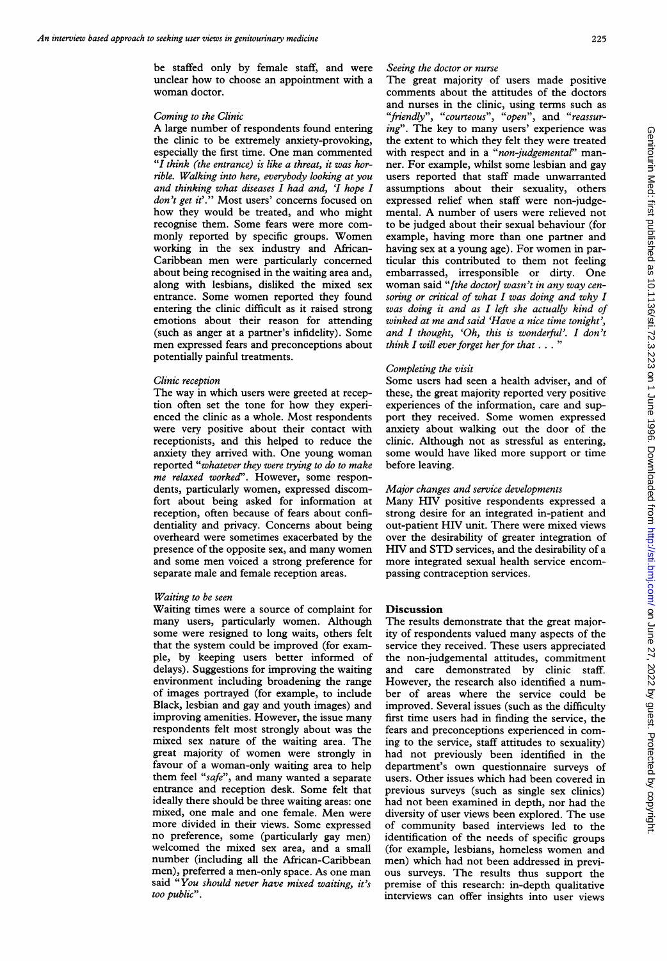be staffed only by female staff, and were unclear how to choose an appointment with <sup>a</sup> woman doctor.

#### Coming to the Clinic

A large number of respondents found entering the clinic to be extremely anxiety-provoking, especially the first time. One man commented "I think (the entrance) is like a threat, it was horrible. Walking into here, everybody looking at you and thinking what diseases I had and, 'I hope I don't get it'." Most users' concerns focused on how they would be treated, and who might recognise them. Some fears were more commonly reported by specific groups. Women working in the sex industry and African-Caribbean men were particularly concerned about being recognised in the waiting area and, along with lesbians, disliked the mixed sex entrance. Some women reported they found entering the clinic difficult as it raised strong emotions about their reason for attending (such as anger at <sup>a</sup> partner's infidelity). Some men expressed fears and preconceptions about potentially painful treatments.

#### Clinic reception

The way in which users were greeted at reception often set the tone for how they experienced the clinic as a whole. Most respondents were very positive about their contact with receptionists, and this helped to reduce the anxiety they arrived with. One young woman reported "whatever they were trying to do to make me relaxed worked". However, some respondents, particularly women, expressed discomfort about being asked for information at reception, often because of fears about confidentiality and privacy. Concerns about being overheard were sometimes exacerbated by the presence of the opposite sex, and many women and some men voiced <sup>a</sup> strong preference for separate male and female reception areas.

## Waiting to be seen

Waiting times were a source of complaint for many users, particularly women. Although some were resigned to long waits, others felt that the system could be improved (for example, by keeping users better informed of delays). Suggestions for improving the waiting environment including broadening the range of images portrayed (for example, to include Black, lesbian and gay and youth images) and improving amenities. However, the issue many respondents felt most strongly about was the mixed sex nature of the waiting area. The great majority of women were strongly in favour of a woman-only waiting area to help them feel "safe", and many wanted a separate entrance and reception desk. Some felt that ideally there should be three waiting areas: one mixed, one male and one female. Men were more divided in their views. Some expressed no preference, some (particularly gay men) welcomed the mixed sex area, and a small number (including all the African-Caribbean men), preferred <sup>a</sup> men-only space. As one man said "You should never have mixed waiting, it's too public".

## Seeing the doctor or nurse

The great majority of users made positive comments about the attitudes of the doctors and nurses in the clinic, using terms such as "friendly", "courteous", "open", and "reassuring". The key to many users' experience was the extent to which they felt they were treated with respect and in a "non-judgemental" manner. For example, whilst some lesbian and gay users reported that staff made unwarranted assumptions about their sexuality, others expressed relief when staff were non-judgemental. A number of users were relieved not to be judged about their sexual behaviour (for example, having more than one partner and having sex at <sup>a</sup> young age). For women in particular this contributed to them not feeling embarrassed, irresponsible or dirty. One woman said "[the doctor] wasn't in any way censoring or critical of what I was doing and why I was doing it and as I left she actually kind of winked at me and said 'Have a nice time tonight', and I thought, 'Oh, this is wonderful'. I don't think I will ever forget her for that  $\dots$ "

## Completing the visit

Some users had seen <sup>a</sup> health adviser, and of these, the great majority reported very positive experiences of the information, care and support they received. Some women expressed anxiety about walking out the door of the clinic. Although not as stressful as entering, some would have liked more support or time before leaving.

## Major changes and service developments

Many HIV positive respondents expressed <sup>a</sup> strong desire for an integrated in-patient and out-patient HIV unit. There were mixed views over the desirability of greater integration of HIV and STD services, and the desirability of <sup>a</sup> more integrated sexual health service encompassing contraception services.

## Discussion

The results demonstrate that the great majority of respondents valued many aspects of the service they received. These users appreciated the non-judgemental attitudes, commitment and care demonstrated by clinic staff. However, the research also identified a number of areas where the service could be improved. Several issues (such as the difficulty first time users had in finding the service, the fears and preconceptions experienced in coming to the service, staff attitudes to sexuality) had not previously been identified in the department's own questionnaire surveys of users. Other issues which had been covered in previous surveys (such as single sex clinics) had not been examined in depth, nor had the diversity of user views been explored. The use of community based interviews led to the identification of the needs of specific groups (for example, lesbians, homeless women and men) which had not been addressed in previous surveys. The results thus support the premise of this research: in-depth qualitative interviews can offer insights into user views